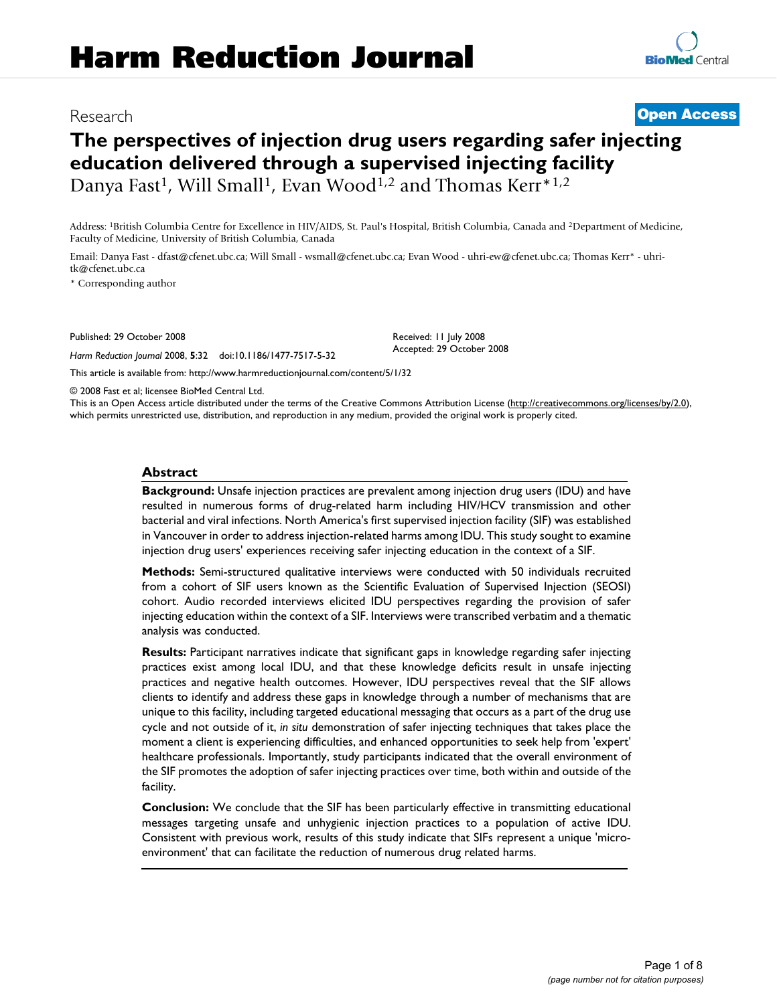# Research **[Open Access](http://www.biomedcentral.com/info/about/charter/)**

# **The perspectives of injection drug users regarding safer injecting education delivered through a supervised injecting facility** Danya Fast<sup>1</sup>, Will Small<sup>1</sup>, Evan Wood<sup>1,2</sup> and Thomas Kerr<sup>\*1,2</sup>

Address: 1British Columbia Centre for Excellence in HIV/AIDS, St. Paul's Hospital, British Columbia, Canada and 2Department of Medicine, Faculty of Medicine, University of British Columbia, Canada

Email: Danya Fast - dfast@cfenet.ubc.ca; Will Small - wsmall@cfenet.ubc.ca; Evan Wood - uhri-ew@cfenet.ubc.ca; Thomas Kerr\* - uhritk@cfenet.ubc.ca

\* Corresponding author

Published: 29 October 2008

*Harm Reduction Journal* 2008, **5**:32 doi:10.1186/1477-7517-5-32

Received: 11 July 2008 Accepted: 29 October 2008

[This article is available from: http://www.harmreductionjournal.com/content/5/1/32](http://www.harmreductionjournal.com/content/5/1/32)

© 2008 Fast et al; licensee BioMed Central Ltd.

This is an Open Access article distributed under the terms of the Creative Commons Attribution License [\(http://creativecommons.org/licenses/by/2.0\)](http://creativecommons.org/licenses/by/2.0), which permits unrestricted use, distribution, and reproduction in any medium, provided the original work is properly cited.

#### **Abstract**

**Background:** Unsafe injection practices are prevalent among injection drug users (IDU) and have resulted in numerous forms of drug-related harm including HIV/HCV transmission and other bacterial and viral infections. North America's first supervised injection facility (SIF) was established in Vancouver in order to address injection-related harms among IDU. This study sought to examine injection drug users' experiences receiving safer injecting education in the context of a SIF.

**Methods:** Semi-structured qualitative interviews were conducted with 50 individuals recruited from a cohort of SIF users known as the Scientific Evaluation of Supervised Injection (SEOSI) cohort. Audio recorded interviews elicited IDU perspectives regarding the provision of safer injecting education within the context of a SIF. Interviews were transcribed verbatim and a thematic analysis was conducted.

**Results:** Participant narratives indicate that significant gaps in knowledge regarding safer injecting practices exist among local IDU, and that these knowledge deficits result in unsafe injecting practices and negative health outcomes. However, IDU perspectives reveal that the SIF allows clients to identify and address these gaps in knowledge through a number of mechanisms that are unique to this facility, including targeted educational messaging that occurs as a part of the drug use cycle and not outside of it, *in situ* demonstration of safer injecting techniques that takes place the moment a client is experiencing difficulties, and enhanced opportunities to seek help from 'expert' healthcare professionals. Importantly, study participants indicated that the overall environment of the SIF promotes the adoption of safer injecting practices over time, both within and outside of the facility.

**Conclusion:** We conclude that the SIF has been particularly effective in transmitting educational messages targeting unsafe and unhygienic injection practices to a population of active IDU. Consistent with previous work, results of this study indicate that SIFs represent a unique 'microenvironment' that can facilitate the reduction of numerous drug related harms.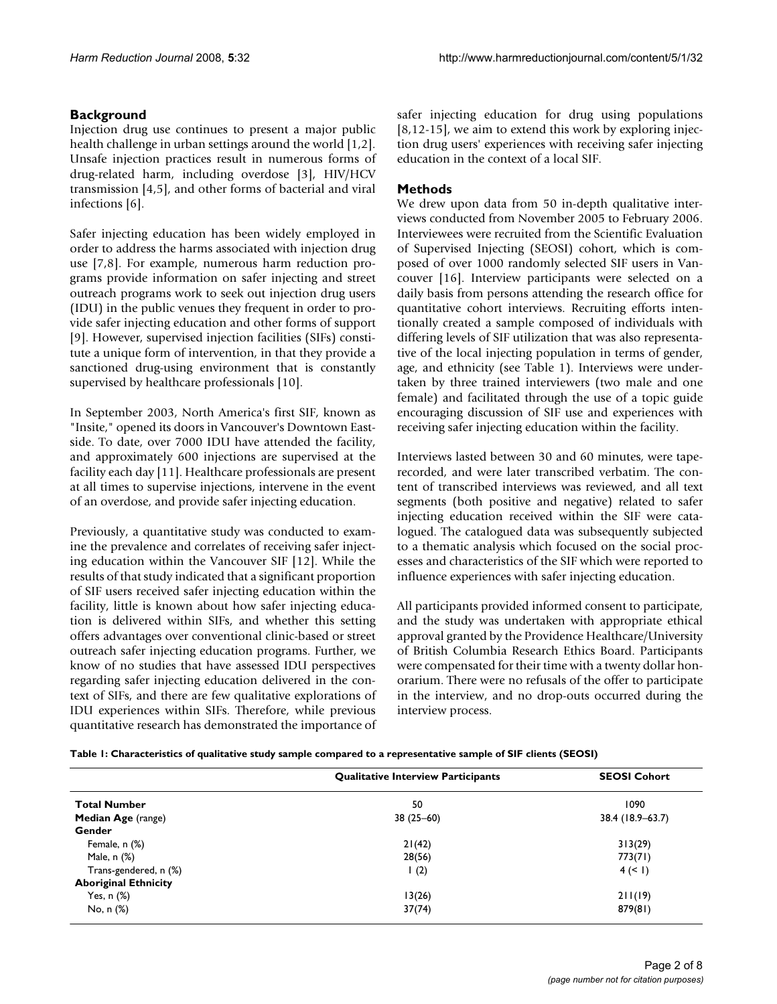# **Background**

Injection drug use continues to present a major public health challenge in urban settings around the world [1,2]. Unsafe injection practices result in numerous forms of drug-related harm, including overdose [3], HIV/HCV transmission [4,5], and other forms of bacterial and viral infections [6].

Safer injecting education has been widely employed in order to address the harms associated with injection drug use [7,8]. For example, numerous harm reduction programs provide information on safer injecting and street outreach programs work to seek out injection drug users (IDU) in the public venues they frequent in order to provide safer injecting education and other forms of support [9]. However, supervised injection facilities (SIFs) constitute a unique form of intervention, in that they provide a sanctioned drug-using environment that is constantly supervised by healthcare professionals [10].

In September 2003, North America's first SIF, known as "Insite," opened its doors in Vancouver's Downtown Eastside. To date, over 7000 IDU have attended the facility, and approximately 600 injections are supervised at the facility each day [11]. Healthcare professionals are present at all times to supervise injections, intervene in the event of an overdose, and provide safer injecting education.

Previously, a quantitative study was conducted to examine the prevalence and correlates of receiving safer injecting education within the Vancouver SIF [12]. While the results of that study indicated that a significant proportion of SIF users received safer injecting education within the facility, little is known about how safer injecting education is delivered within SIFs, and whether this setting offers advantages over conventional clinic-based or street outreach safer injecting education programs. Further, we know of no studies that have assessed IDU perspectives regarding safer injecting education delivered in the context of SIFs, and there are few qualitative explorations of IDU experiences within SIFs. Therefore, while previous quantitative research has demonstrated the importance of safer injecting education for drug using populations [8,12-15], we aim to extend this work by exploring injection drug users' experiences with receiving safer injecting education in the context of a local SIF.

# **Methods**

We drew upon data from 50 in-depth qualitative interviews conducted from November 2005 to February 2006. Interviewees were recruited from the Scientific Evaluation of Supervised Injecting (SEOSI) cohort, which is composed of over 1000 randomly selected SIF users in Vancouver [16]. Interview participants were selected on a daily basis from persons attending the research office for quantitative cohort interviews. Recruiting efforts intentionally created a sample composed of individuals with differing levels of SIF utilization that was also representative of the local injecting population in terms of gender, age, and ethnicity (see Table 1). Interviews were undertaken by three trained interviewers (two male and one female) and facilitated through the use of a topic guide encouraging discussion of SIF use and experiences with receiving safer injecting education within the facility.

Interviews lasted between 30 and 60 minutes, were taperecorded, and were later transcribed verbatim. The content of transcribed interviews was reviewed, and all text segments (both positive and negative) related to safer injecting education received within the SIF were catalogued. The catalogued data was subsequently subjected to a thematic analysis which focused on the social processes and characteristics of the SIF which were reported to influence experiences with safer injecting education.

All participants provided informed consent to participate, and the study was undertaken with appropriate ethical approval granted by the Providence Healthcare/University of British Columbia Research Ethics Board. Participants were compensated for their time with a twenty dollar honorarium. There were no refusals of the offer to participate in the interview, and no drop-outs occurred during the interview process.

**Table 1: Characteristics of qualitative study sample compared to a representative sample of SIF clients (SEOSI)**

|                             | <b>Qualitative Interview Participants</b> | <b>SEOSI Cohort</b> |
|-----------------------------|-------------------------------------------|---------------------|
| <b>Total Number</b>         | 50                                        | 1090                |
| Median Age (range)          | $38(25-60)$                               | 38.4 (18.9–63.7)    |
| Gender                      |                                           |                     |
| Female, n (%)               | 21(42)                                    | 313(29)             |
| Male, n (%)                 | 28(56)                                    | 773(71)             |
| Trans-gendered, n (%)       | $\binom{2}{}$                             | 4 (< 1)             |
| <b>Aboriginal Ethnicity</b> |                                           |                     |
| Yes, $n$ $%$                | 13(26)                                    | 211(19)             |
| No, n (%)                   | 37(74)                                    | 879(81)             |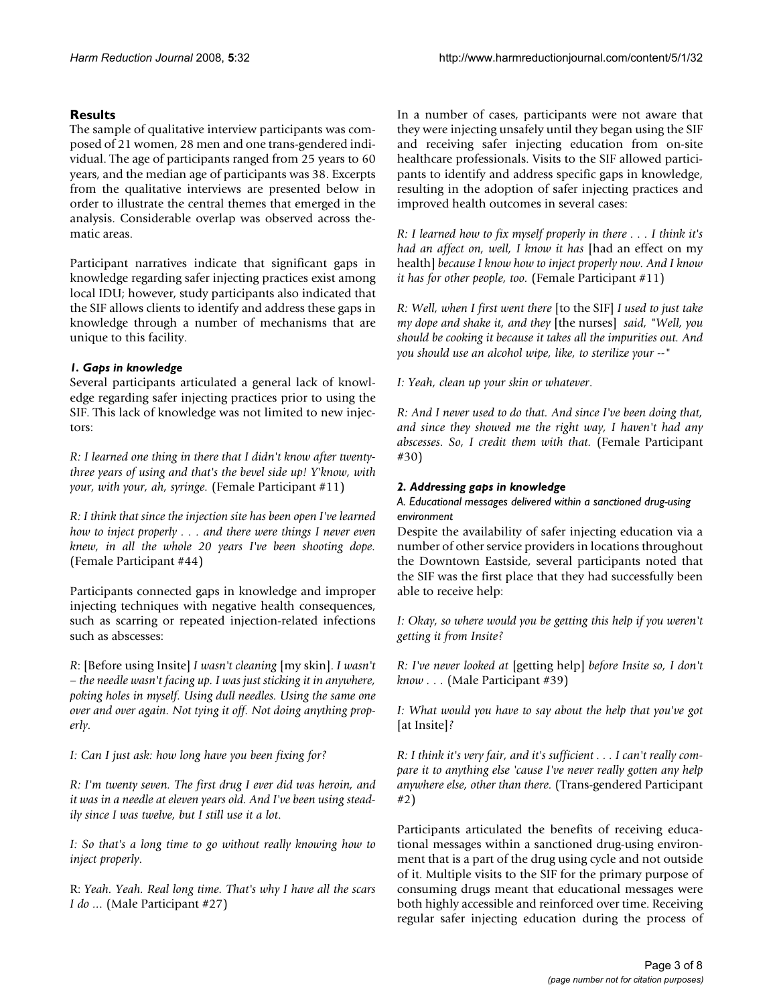# **Results**

The sample of qualitative interview participants was composed of 21 women, 28 men and one trans-gendered individual. The age of participants ranged from 25 years to 60 years, and the median age of participants was 38. Excerpts from the qualitative interviews are presented below in order to illustrate the central themes that emerged in the analysis. Considerable overlap was observed across thematic areas.

Participant narratives indicate that significant gaps in knowledge regarding safer injecting practices exist among local IDU; however, study participants also indicated that the SIF allows clients to identify and address these gaps in knowledge through a number of mechanisms that are unique to this facility.

# *1. Gaps in knowledge*

Several participants articulated a general lack of knowledge regarding safer injecting practices prior to using the SIF. This lack of knowledge was not limited to new injectors:

*R: I learned one thing in there that I didn't know after twentythree years of using and that's the bevel side up! Y'know, with your, with your, ah, syringe.* (Female Participant #11)

*R: I think that since the injection site has been open I've learned how to inject properly . . . and there were things I never even knew, in all the whole 20 years I've been shooting dope.* (Female Participant #44)

Participants connected gaps in knowledge and improper injecting techniques with negative health consequences, such as scarring or repeated injection-related infections such as abscesses:

*R*: [Before using Insite] *I wasn't cleaning* [my skin]. *I wasn't – the needle wasn't facing up. I was just sticking it in anywhere, poking holes in myself. Using dull needles. Using the same one over and over again. Not tying it off. Not doing anything properly*.

*I: Can I just ask: how long have you been fixing for?*

*R: I'm twenty seven. The first drug I ever did was heroin, and it was in a needle at eleven years old. And I've been using steadily since I was twelve, but I still use it a lot*.

*I: So that's a long time to go without really knowing how to inject properly*.

R: *Yeah. Yeah. Real long time. That's why I have all the scars I do ...* (Male Participant #27)

In a number of cases, participants were not aware that they were injecting unsafely until they began using the SIF and receiving safer injecting education from on-site healthcare professionals. Visits to the SIF allowed participants to identify and address specific gaps in knowledge, resulting in the adoption of safer injecting practices and improved health outcomes in several cases:

*R: I learned how to fix myself properly in there . . . I think it's had an affect on, well, I know it has* [had an effect on my health] *because I know how to inject properly now. And I know it has for other people, too.* (Female Participant #11)

*R: Well, when I first went there* [to the SIF] *I used to just take my dope and shake it, and they* [the nurses] *said, "Well, you should be cooking it because it takes all the impurities out. And you should use an alcohol wipe, like, to sterilize your --"*

*I: Yeah, clean up your skin or whatever*.

*R: And I never used to do that. And since I've been doing that, and since they showed me the right way, I haven't had any abscesses. So, I credit them with that.* (Female Participant #30)

# *2. Addressing gaps in knowledge*

### *A. Educational messages delivered within a sanctioned drug-using environment*

Despite the availability of safer injecting education via a number of other service providers in locations throughout the Downtown Eastside, several participants noted that the SIF was the first place that they had successfully been able to receive help:

*I: Okay, so where would you be getting this help if you weren't getting it from Insite?*

*R: I've never looked at* [getting help] *before Insite so, I don't know . . .* (Male Participant #39)

*I: What would you have to say about the help that you've got* [at Insite]*?*

*R: I think it's very fair, and it's sufficient . . . I can't really compare it to anything else 'cause I've never really gotten any help anywhere else, other than there.* (Trans-gendered Participant #2)

Participants articulated the benefits of receiving educational messages within a sanctioned drug-using environment that is a part of the drug using cycle and not outside of it. Multiple visits to the SIF for the primary purpose of consuming drugs meant that educational messages were both highly accessible and reinforced over time. Receiving regular safer injecting education during the process of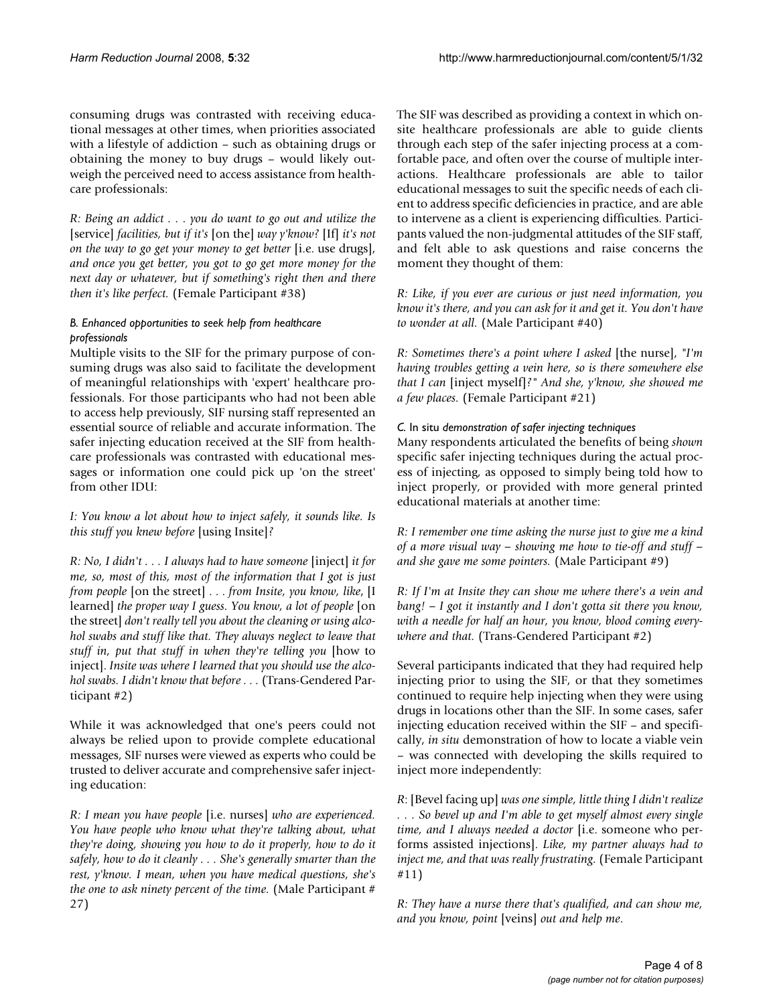consuming drugs was contrasted with receiving educational messages at other times, when priorities associated with a lifestyle of addiction – such as obtaining drugs or obtaining the money to buy drugs – would likely outweigh the perceived need to access assistance from healthcare professionals:

*R: Being an addict . . . you do want to go out and utilize the* [service] *facilities, but if it's* [on the] *way y'know?* [If] *it's not on the way to go get your money to get better* [i.e. use drugs], *and once you get better, you got to go get more money for the next day or whatever, but if something's right then and there then it's like perfect.* (Female Participant #38)

# *B. Enhanced opportunities to seek help from healthcare professionals*

Multiple visits to the SIF for the primary purpose of consuming drugs was also said to facilitate the development of meaningful relationships with 'expert' healthcare professionals. For those participants who had not been able to access help previously, SIF nursing staff represented an essential source of reliable and accurate information. The safer injecting education received at the SIF from healthcare professionals was contrasted with educational messages or information one could pick up 'on the street' from other IDU:

*I: You know a lot about how to inject safely, it sounds like. Is this stuff you knew before* [using Insite]*?*

*R: No, I didn't . . . I always had to have someone* [inject] *it for me, so, most of this, most of the information that I got is just from people* [on the street] . . . *from Insite, you know, like*, [I learned] *the proper way I guess. You know, a lot of people* [on the street] *don't really tell you about the cleaning or using alcohol swabs and stuff like that. They always neglect to leave that stuff in, put that stuff in when they're telling you* [how to inject]. *Insite was where I learned that you should use the alcohol swabs. I didn't know that before . . .* (Trans-Gendered Participant #2)

While it was acknowledged that one's peers could not always be relied upon to provide complete educational messages, SIF nurses were viewed as experts who could be trusted to deliver accurate and comprehensive safer injecting education:

*R: I mean you have people* [i.e. nurses] *who are experienced. You have people who know what they're talking about, what they're doing, showing you how to do it properly, how to do it safely, how to do it cleanly . . . She's generally smarter than the rest, y'know. I mean, when you have medical questions, she's the one to ask ninety percent of the time.* (Male Participant # 27)

The SIF was described as providing a context in which onsite healthcare professionals are able to guide clients through each step of the safer injecting process at a comfortable pace, and often over the course of multiple interactions. Healthcare professionals are able to tailor educational messages to suit the specific needs of each client to address specific deficiencies in practice, and are able to intervene as a client is experiencing difficulties. Participants valued the non-judgmental attitudes of the SIF staff, and felt able to ask questions and raise concerns the moment they thought of them:

*R: Like, if you ever are curious or just need information, you know it's there, and you can ask for it and get it. You don't have to wonder at all.* (Male Participant #40)

*R: Sometimes there's a point where I asked* [the nurse], *"I'm having troubles getting a vein here, so is there somewhere else that I can* [inject myself]*?" And she, y'know, she showed me a few places.* (Female Participant #21)

# *C.* In situ *demonstration of safer injecting techniques*

Many respondents articulated the benefits of being *shown* specific safer injecting techniques during the actual process of injecting, as opposed to simply being told how to inject properly, or provided with more general printed educational materials at another time:

*R: I remember one time asking the nurse just to give me a kind of a more visual way – showing me how to tie-off and stuff – and she gave me some pointers.* (Male Participant #9)

*R: If I'm at Insite they can show me where there's a vein and bang! – I got it instantly and I don't gotta sit there you know, with a needle for half an hour, you know, blood coming everywhere and that.* (Trans-Gendered Participant #2)

Several participants indicated that they had required help injecting prior to using the SIF, or that they sometimes continued to require help injecting when they were using drugs in locations other than the SIF. In some cases, safer injecting education received within the SIF – and specifically, *in situ* demonstration of how to locate a viable vein – was connected with developing the skills required to inject more independently:

*R*: [Bevel facing up] *was one simple, little thing I didn't realize . . . So bevel up and I'm able to get myself almost every single time, and I always needed a doctor* [i.e. someone who performs assisted injections]. *Like, my partner always had to inject me, and that was really frustrating.* (Female Participant #11)

*R: They have a nurse there that's qualified, and can show me, and you know, point* [veins] *out and help me*.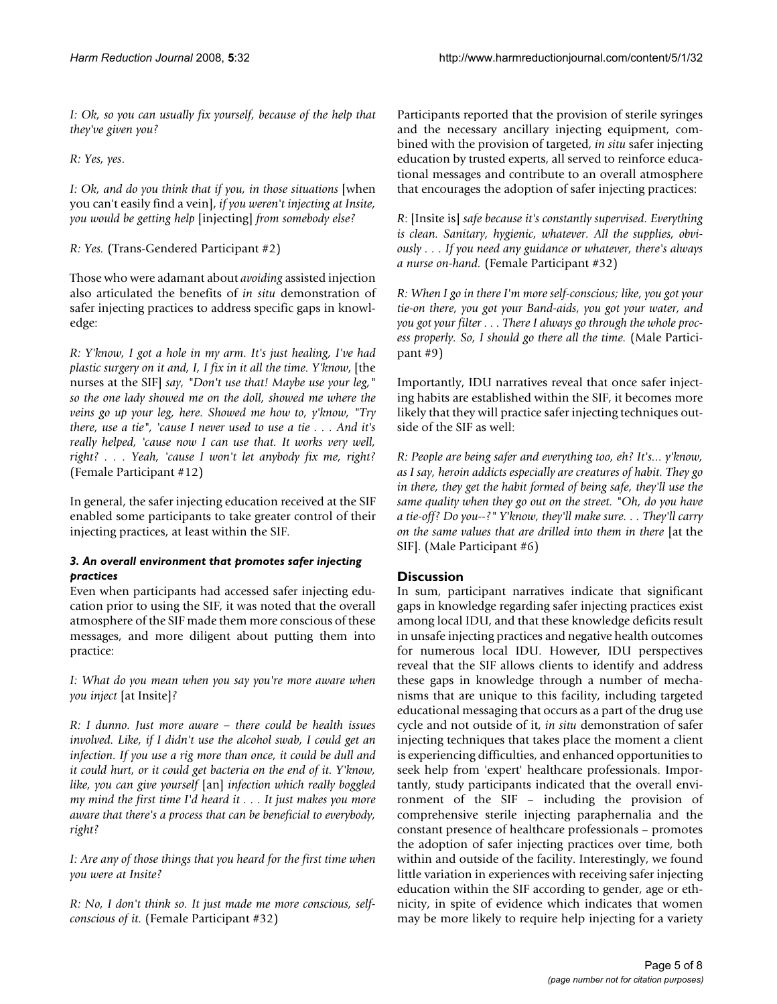*I: Ok, so you can usually fix yourself, because of the help that they've given you?*

*R: Yes, yes*.

*I: Ok, and do you think that if you, in those situations* [when you can't easily find a vein], *if you weren't injecting at Insite, you would be getting help* [injecting] *from somebody else?*

*R: Yes.* (Trans-Gendered Participant #2)

Those who were adamant about *avoiding* assisted injection also articulated the benefits of *in situ* demonstration of safer injecting practices to address specific gaps in knowledge:

*R: Y'know, I got a hole in my arm. It's just healing, I've had plastic surgery on it and, I, I fix in it all the time. Y'know*, [the nurses at the SIF] *say, "Don't use that! Maybe use your leg," so the one lady showed me on the doll, showed me where the veins go up your leg, here. Showed me how to, y'know, "Try there, use a tie", 'cause I never used to use a tie . . . And it's really helped, 'cause now I can use that. It works very well, right? . . . Yeah, 'cause I won't let anybody fix me, right?* (Female Participant #12)

In general, the safer injecting education received at the SIF enabled some participants to take greater control of their injecting practices, at least within the SIF.

# *3. An overall environment that promotes safer injecting practices*

Even when participants had accessed safer injecting education prior to using the SIF, it was noted that the overall atmosphere of the SIF made them more conscious of these messages, and more diligent about putting them into practice:

*I: What do you mean when you say you're more aware when you inject* [at Insite]*?*

*R: I dunno. Just more aware – there could be health issues involved. Like, if I didn't use the alcohol swab, I could get an infection. If you use a rig more than once, it could be dull and it could hurt, or it could get bacteria on the end of it. Y'know, like, you can give yourself* [an] *infection which really boggled my mind the first time I'd heard it . . . It just makes you more aware that there's a process that can be beneficial to everybody, right?*

*I: Are any of those things that you heard for the first time when you were at Insite?*

*R: No, I don't think so. It just made me more conscious, selfconscious of it.* (Female Participant #32)

Participants reported that the provision of sterile syringes and the necessary ancillary injecting equipment, combined with the provision of targeted, *in situ* safer injecting education by trusted experts, all served to reinforce educational messages and contribute to an overall atmosphere that encourages the adoption of safer injecting practices:

*R*: [Insite is] *safe because it's constantly supervised. Everything is clean. Sanitary, hygienic, whatever. All the supplies, obviously . . . If you need any guidance or whatever, there's always a nurse on-hand.* (Female Participant #32)

*R: When I go in there I'm more self-conscious; like, you got your tie-on there, you got your Band-aids, you got your water, and you got your filter . . . There I always go through the whole process properly. So, I should go there all the time.* (Male Participant #9)

Importantly, IDU narratives reveal that once safer injecting habits are established within the SIF, it becomes more likely that they will practice safer injecting techniques outside of the SIF as well:

*R: People are being safer and everything too, eh? It's... y'know, as I say, heroin addicts especially are creatures of habit. They go in there, they get the habit formed of being safe, they'll use the same quality when they go out on the street. "Oh, do you have a tie-off? Do you--?" Y'know, they'll make sure. . . They'll carry on the same values that are drilled into them in there* [at the SIF]. (Male Participant #6)

# **Discussion**

In sum, participant narratives indicate that significant gaps in knowledge regarding safer injecting practices exist among local IDU, and that these knowledge deficits result in unsafe injecting practices and negative health outcomes for numerous local IDU. However, IDU perspectives reveal that the SIF allows clients to identify and address these gaps in knowledge through a number of mechanisms that are unique to this facility, including targeted educational messaging that occurs as a part of the drug use cycle and not outside of it, *in situ* demonstration of safer injecting techniques that takes place the moment a client is experiencing difficulties, and enhanced opportunities to seek help from 'expert' healthcare professionals. Importantly, study participants indicated that the overall environment of the SIF – including the provision of comprehensive sterile injecting paraphernalia and the constant presence of healthcare professionals – promotes the adoption of safer injecting practices over time, both within and outside of the facility. Interestingly, we found little variation in experiences with receiving safer injecting education within the SIF according to gender, age or ethnicity, in spite of evidence which indicates that women may be more likely to require help injecting for a variety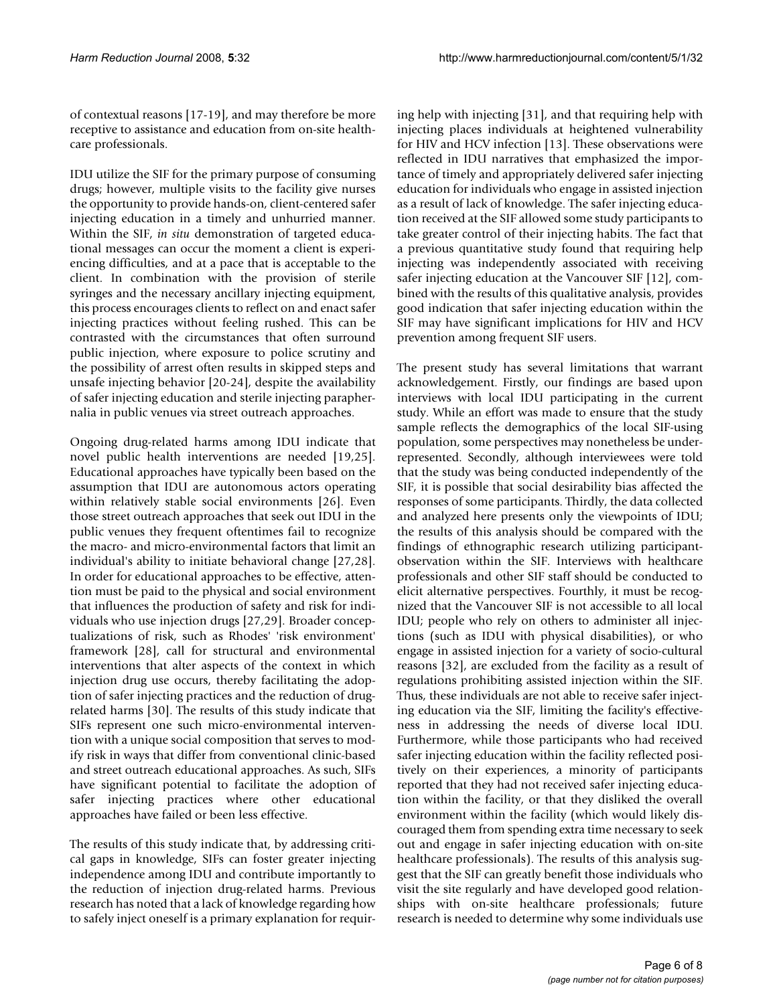of contextual reasons [17-19], and may therefore be more receptive to assistance and education from on-site healthcare professionals.

IDU utilize the SIF for the primary purpose of consuming drugs; however, multiple visits to the facility give nurses the opportunity to provide hands-on, client-centered safer injecting education in a timely and unhurried manner. Within the SIF, *in situ* demonstration of targeted educational messages can occur the moment a client is experiencing difficulties, and at a pace that is acceptable to the client. In combination with the provision of sterile syringes and the necessary ancillary injecting equipment, this process encourages clients to reflect on and enact safer injecting practices without feeling rushed. This can be contrasted with the circumstances that often surround public injection, where exposure to police scrutiny and the possibility of arrest often results in skipped steps and unsafe injecting behavior [20-24], despite the availability of safer injecting education and sterile injecting paraphernalia in public venues via street outreach approaches.

Ongoing drug-related harms among IDU indicate that novel public health interventions are needed [19,25]. Educational approaches have typically been based on the assumption that IDU are autonomous actors operating within relatively stable social environments [26]. Even those street outreach approaches that seek out IDU in the public venues they frequent oftentimes fail to recognize the macro- and micro-environmental factors that limit an individual's ability to initiate behavioral change [27,28]. In order for educational approaches to be effective, attention must be paid to the physical and social environment that influences the production of safety and risk for individuals who use injection drugs [27,29]. Broader conceptualizations of risk, such as Rhodes' 'risk environment' framework [28], call for structural and environmental interventions that alter aspects of the context in which injection drug use occurs, thereby facilitating the adoption of safer injecting practices and the reduction of drugrelated harms [30]. The results of this study indicate that SIFs represent one such micro-environmental intervention with a unique social composition that serves to modify risk in ways that differ from conventional clinic-based and street outreach educational approaches. As such, SIFs have significant potential to facilitate the adoption of safer injecting practices where other educational approaches have failed or been less effective.

The results of this study indicate that, by addressing critical gaps in knowledge, SIFs can foster greater injecting independence among IDU and contribute importantly to the reduction of injection drug-related harms. Previous research has noted that a lack of knowledge regarding how to safely inject oneself is a primary explanation for requiring help with injecting [31], and that requiring help with injecting places individuals at heightened vulnerability for HIV and HCV infection [13]. These observations were reflected in IDU narratives that emphasized the importance of timely and appropriately delivered safer injecting education for individuals who engage in assisted injection as a result of lack of knowledge. The safer injecting education received at the SIF allowed some study participants to take greater control of their injecting habits. The fact that a previous quantitative study found that requiring help injecting was independently associated with receiving safer injecting education at the Vancouver SIF [12], combined with the results of this qualitative analysis, provides good indication that safer injecting education within the SIF may have significant implications for HIV and HCV prevention among frequent SIF users.

The present study has several limitations that warrant acknowledgement. Firstly, our findings are based upon interviews with local IDU participating in the current study. While an effort was made to ensure that the study sample reflects the demographics of the local SIF-using population, some perspectives may nonetheless be underrepresented. Secondly, although interviewees were told that the study was being conducted independently of the SIF, it is possible that social desirability bias affected the responses of some participants. Thirdly, the data collected and analyzed here presents only the viewpoints of IDU; the results of this analysis should be compared with the findings of ethnographic research utilizing participantobservation within the SIF. Interviews with healthcare professionals and other SIF staff should be conducted to elicit alternative perspectives. Fourthly, it must be recognized that the Vancouver SIF is not accessible to all local IDU; people who rely on others to administer all injections (such as IDU with physical disabilities), or who engage in assisted injection for a variety of socio-cultural reasons [32], are excluded from the facility as a result of regulations prohibiting assisted injection within the SIF. Thus, these individuals are not able to receive safer injecting education via the SIF, limiting the facility's effectiveness in addressing the needs of diverse local IDU. Furthermore, while those participants who had received safer injecting education within the facility reflected positively on their experiences, a minority of participants reported that they had not received safer injecting education within the facility, or that they disliked the overall environment within the facility (which would likely discouraged them from spending extra time necessary to seek out and engage in safer injecting education with on-site healthcare professionals). The results of this analysis suggest that the SIF can greatly benefit those individuals who visit the site regularly and have developed good relationships with on-site healthcare professionals; future research is needed to determine why some individuals use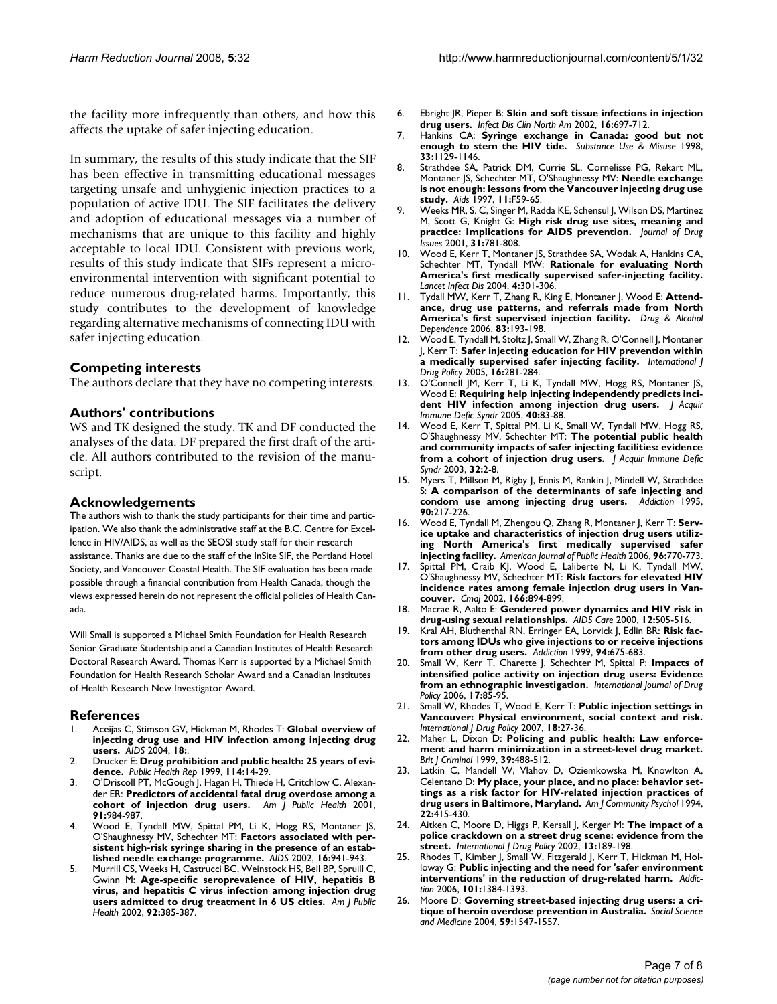the facility more infrequently than others, and how this affects the uptake of safer injecting education.

In summary, the results of this study indicate that the SIF has been effective in transmitting educational messages targeting unsafe and unhygienic injection practices to a population of active IDU. The SIF facilitates the delivery and adoption of educational messages via a number of mechanisms that are unique to this facility and highly acceptable to local IDU. Consistent with previous work, results of this study indicate that SIFs represent a microenvironmental intervention with significant potential to reduce numerous drug-related harms. Importantly, this study contributes to the development of knowledge regarding alternative mechanisms of connecting IDU with safer injecting education.

#### **Competing interests**

The authors declare that they have no competing interests.

#### **Authors' contributions**

WS and TK designed the study. TK and DF conducted the analyses of the data. DF prepared the first draft of the article. All authors contributed to the revision of the manuscript.

#### **Acknowledgements**

The authors wish to thank the study participants for their time and participation. We also thank the administrative staff at the B.C. Centre for Excellence in HIV/AIDS, as well as the SEOSI study staff for their research assistance. Thanks are due to the staff of the InSite SIF, the Portland Hotel Society, and Vancouver Coastal Health. The SIF evaluation has been made possible through a financial contribution from Health Canada, though the views expressed herein do not represent the official policies of Health Canada.

Will Small is supported a Michael Smith Foundation for Health Research Senior Graduate Studentship and a Canadian Institutes of Health Research Doctoral Research Award. Thomas Kerr is supported by a Michael Smith Foundation for Health Research Scholar Award and a Canadian Institutes of Health Research New Investigator Award.

#### **References**

- 1. Aceijas C, Stimson GV, Hickman M, Rhodes T: **[Global overview of](http://www.ncbi.nlm.nih.gov/entrez/query.fcgi?cmd=Retrieve&db=PubMed&dopt=Abstract&list_uids=15577542) [injecting drug use and HIV infection among injecting drug](http://www.ncbi.nlm.nih.gov/entrez/query.fcgi?cmd=Retrieve&db=PubMed&dopt=Abstract&list_uids=15577542) [users.](http://www.ncbi.nlm.nih.gov/entrez/query.fcgi?cmd=Retrieve&db=PubMed&dopt=Abstract&list_uids=15577542)** *AIDS* 2004, **18:**.
- 2. Drucker E: **[Drug prohibition and public health: 25 years of evi](http://www.ncbi.nlm.nih.gov/entrez/query.fcgi?cmd=Retrieve&db=PubMed&dopt=Abstract&list_uids=9925168)[dence.](http://www.ncbi.nlm.nih.gov/entrez/query.fcgi?cmd=Retrieve&db=PubMed&dopt=Abstract&list_uids=9925168)** *Public Health Rep* 1999, **114:**14-29.
- 3. O'Driscoll PT, McGough J, Hagan H, Thiede H, Critchlow C, Alexander ER: **[Predictors of accidental fatal drug overdose among a](http://www.ncbi.nlm.nih.gov/entrez/query.fcgi?cmd=Retrieve&db=PubMed&dopt=Abstract&list_uids=11392946) [cohort of injection drug users.](http://www.ncbi.nlm.nih.gov/entrez/query.fcgi?cmd=Retrieve&db=PubMed&dopt=Abstract&list_uids=11392946)** *Am J Public Health* 2001, **91:**984-987.
- Wood E, Tyndall MW, Spittal PM, Li K, Hogg RS, Montaner JS, O'Shaughnessy MV, Schechter MT: **[Factors associated with per](http://www.ncbi.nlm.nih.gov/entrez/query.fcgi?cmd=Retrieve&db=PubMed&dopt=Abstract&list_uids=11919503)[sistent high-risk syringe sharing in the presence of an estab](http://www.ncbi.nlm.nih.gov/entrez/query.fcgi?cmd=Retrieve&db=PubMed&dopt=Abstract&list_uids=11919503)[lished needle exchange programme.](http://www.ncbi.nlm.nih.gov/entrez/query.fcgi?cmd=Retrieve&db=PubMed&dopt=Abstract&list_uids=11919503)** *AIDS* 2002, **16:**941-943.
- 5. Murrill CS, Weeks H, Castrucci BC, Weinstock HS, Bell BP, Spruill C, Gwinn M: **[Age-specific seroprevalence of HIV, hepatitis B](http://www.ncbi.nlm.nih.gov/entrez/query.fcgi?cmd=Retrieve&db=PubMed&dopt=Abstract&list_uids=11867316) [virus, and hepatitis C virus infection among injection drug](http://www.ncbi.nlm.nih.gov/entrez/query.fcgi?cmd=Retrieve&db=PubMed&dopt=Abstract&list_uids=11867316) [users admitted to drug treatment in 6 US cities.](http://www.ncbi.nlm.nih.gov/entrez/query.fcgi?cmd=Retrieve&db=PubMed&dopt=Abstract&list_uids=11867316)** *Am J Public Health* 2002, **92:**385-387.
- 6. Ebright JR, Pieper B: **[Skin and soft tissue infections in injection](http://www.ncbi.nlm.nih.gov/entrez/query.fcgi?cmd=Retrieve&db=PubMed&dopt=Abstract&list_uids=12371123) [drug users.](http://www.ncbi.nlm.nih.gov/entrez/query.fcgi?cmd=Retrieve&db=PubMed&dopt=Abstract&list_uids=12371123)** *Infect Dis Clin North Am* 2002, **16:**697-712.
- 7. Hankins CA: **[Syringe exchange in Canada: good but not](http://www.ncbi.nlm.nih.gov/entrez/query.fcgi?cmd=Retrieve&db=PubMed&dopt=Abstract&list_uids=9596380) [enough to stem the HIV tide.](http://www.ncbi.nlm.nih.gov/entrez/query.fcgi?cmd=Retrieve&db=PubMed&dopt=Abstract&list_uids=9596380)** *Substance Use & Misuse* 1998, **33:**1129-1146.
- 8. Strathdee SA, Patrick DM, Currie SL, Cornelisse PG, Rekart ML, Montaner JS, Schechter MT, O'Shaughnessy MV: **[Needle exchange](http://www.ncbi.nlm.nih.gov/entrez/query.fcgi?cmd=Retrieve&db=PubMed&dopt=Abstract&list_uids=9223727) [is not enough: lessons from the Vancouver injecting drug use](http://www.ncbi.nlm.nih.gov/entrez/query.fcgi?cmd=Retrieve&db=PubMed&dopt=Abstract&list_uids=9223727) [study.](http://www.ncbi.nlm.nih.gov/entrez/query.fcgi?cmd=Retrieve&db=PubMed&dopt=Abstract&list_uids=9223727)** *Aids* 1997, **11:**F59-65.
- 9. Weeks MR, S. C, Singer M, Radda KE, Schensul J, Wilson DS, Martinez M, Scott G, Knight G: **High risk drug use sites, meaning and practice: Implications for AIDS prevention.** *Journal of Drug Issues* 2001, **31:**781-808.
- 10. Wood E, Kerr T, Montaner JS, Strathdee SA, Wodak A, Hankins CA, Schechter MT, Tyndall MW: **[Rationale for evaluating North](http://www.ncbi.nlm.nih.gov/entrez/query.fcgi?cmd=Retrieve&db=PubMed&dopt=Abstract&list_uids=15120347) [America's first medically supervised safer-injecting facility.](http://www.ncbi.nlm.nih.gov/entrez/query.fcgi?cmd=Retrieve&db=PubMed&dopt=Abstract&list_uids=15120347)** *Lancet Infect Dis* 2004, **4:**301-306.
- 11. Tydall MW, Kerr T, Zhang R, King E, Montaner J, Wood E: **Attendance, drug use patterns, and referrals made from North America's first supervised injection facility.** *Drug & Alcohol Dependence* 2006, **83:**193-198.
- 12. Wood E, Tyndall M, Stoltz J, Small W, Zhang R, O'Connell J, Montaner J, Kerr T: **Safer injecting education for HIV prevention within a medically supervised safer injecting facility.** *International J Drug Policy* 2005, **16:**281-284.
- 13. O'Connell JM, Kerr T, Li K, Tyndall MW, Hogg RS, Montaner JS, Wood E: **[Requiring help injecting independently predicts inci](http://www.ncbi.nlm.nih.gov/entrez/query.fcgi?cmd=Retrieve&db=PubMed&dopt=Abstract&list_uids=16123687)[dent HIV infection among injection drug users.](http://www.ncbi.nlm.nih.gov/entrez/query.fcgi?cmd=Retrieve&db=PubMed&dopt=Abstract&list_uids=16123687)** *J Acquir Immune Defic Syndr* 2005, **40:**83-88.
- 14. Wood E, Kerr T, Spittal PM, Li K, Small W, Tyndall MW, Hogg RS, O'Shaughnessy MV, Schechter MT: **[The potential public health](http://www.ncbi.nlm.nih.gov/entrez/query.fcgi?cmd=Retrieve&db=PubMed&dopt=Abstract&list_uids=12514408) [and community impacts of safer injecting facilities: evidence](http://www.ncbi.nlm.nih.gov/entrez/query.fcgi?cmd=Retrieve&db=PubMed&dopt=Abstract&list_uids=12514408) [from a cohort of injection drug users.](http://www.ncbi.nlm.nih.gov/entrez/query.fcgi?cmd=Retrieve&db=PubMed&dopt=Abstract&list_uids=12514408)** *J Acquir Immune Defic Syndr* 2003, **32:**2-8.
- 15. Myers T, Millson M, Rigby J, Ennis M, Rankin J, Mindell W, Strathdee S: **[A comparison of the determinants of safe injecting and](http://www.ncbi.nlm.nih.gov/entrez/query.fcgi?cmd=Retrieve&db=PubMed&dopt=Abstract&list_uids=7703815) [condom use among injecting drug users.](http://www.ncbi.nlm.nih.gov/entrez/query.fcgi?cmd=Retrieve&db=PubMed&dopt=Abstract&list_uids=7703815)** *Addiction* 1995, **90:**217-226.
- 16. Wood E, Tyndall M, Zhengou Q, Zhang R, Montaner J, Kerr T: **[Serv](http://www.ncbi.nlm.nih.gov/entrez/query.fcgi?cmd=Retrieve&db=PubMed&dopt=Abstract&list_uids=16571703)[ice uptake and characteristics of injection drug users utiliz](http://www.ncbi.nlm.nih.gov/entrez/query.fcgi?cmd=Retrieve&db=PubMed&dopt=Abstract&list_uids=16571703)ing North America's first medically supervised safer [injecting facility.](http://www.ncbi.nlm.nih.gov/entrez/query.fcgi?cmd=Retrieve&db=PubMed&dopt=Abstract&list_uids=16571703)** *American Journal of Public Health* 2006, **96:**770-773.
- 17. Spittal PM, Craib KJ, Wood E, Laliberte N, Li K, Tyndall MW, O'Shaughnessy MV, Schechter MT: **[Risk factors for elevated HIV](http://www.ncbi.nlm.nih.gov/entrez/query.fcgi?cmd=Retrieve&db=PubMed&dopt=Abstract&list_uids=11949985) [incidence rates among female injection drug users in Van](http://www.ncbi.nlm.nih.gov/entrez/query.fcgi?cmd=Retrieve&db=PubMed&dopt=Abstract&list_uids=11949985)[couver.](http://www.ncbi.nlm.nih.gov/entrez/query.fcgi?cmd=Retrieve&db=PubMed&dopt=Abstract&list_uids=11949985)** *Cmaj* 2002, **166:**894-899.
- 18. Macrae R, Aalto E: **[Gendered power dynamics and HIV risk in](http://www.ncbi.nlm.nih.gov/entrez/query.fcgi?cmd=Retrieve&db=PubMed&dopt=Abstract&list_uids=11091783) [drug-using sexual relationships.](http://www.ncbi.nlm.nih.gov/entrez/query.fcgi?cmd=Retrieve&db=PubMed&dopt=Abstract&list_uids=11091783)** *AIDS Care* 2000, **12:**505-516.
- 19. Kral AH, Bluthenthal RN, Erringer EA, Lorvick J, Edlin BR: **[Risk fac](http://www.ncbi.nlm.nih.gov/entrez/query.fcgi?cmd=Retrieve&db=PubMed&dopt=Abstract&list_uids=10563032)[tors among IDUs who give injections to or receive injections](http://www.ncbi.nlm.nih.gov/entrez/query.fcgi?cmd=Retrieve&db=PubMed&dopt=Abstract&list_uids=10563032) [from other drug users.](http://www.ncbi.nlm.nih.gov/entrez/query.fcgi?cmd=Retrieve&db=PubMed&dopt=Abstract&list_uids=10563032)** *Addiction* 1999, **94:**675-683.
- 20. Small W, Kerr T, Charette J, Schechter M, Spittal P: **Impacts of intensified police activity on injection drug users: Evidence from an ethnographic investigation.** *International Journal of Drug Policy* 2006, **17:**85-95.
- 21. Small W, Rhodes T, Wood E, Kerr T: **Public injection settings in Vancouver: Physical environment, social context and risk.** *International J Drug Policy* 2007, **18:**27-36.
- 22. Maher L, Dixon D: **Policing and public health: Law enforcement and harm minimization in a street-level drug market.** *Brit J Criminol* 1999, **39:**488-512.
- 23. Latkin C, Mandell W, Vlahov D, Oziemkowska M, Knowlton A, Celentano D: **[My place, your place, and no place: behavior set](http://www.ncbi.nlm.nih.gov/entrez/query.fcgi?cmd=Retrieve&db=PubMed&dopt=Abstract&list_uids=7879749)[tings as a risk factor for HIV-related injection practices of](http://www.ncbi.nlm.nih.gov/entrez/query.fcgi?cmd=Retrieve&db=PubMed&dopt=Abstract&list_uids=7879749) [drug users in Baltimore, Maryland.](http://www.ncbi.nlm.nih.gov/entrez/query.fcgi?cmd=Retrieve&db=PubMed&dopt=Abstract&list_uids=7879749)** *Am J Community Psychol* 1994, **22:**415-430.
- 24. Aitken C, Moore D, Higgs P, Kersall J, Kerger M: **The impact of a police crackdown on a street drug scene: evidence from the street.** *International J Drug Policy* 2002, **13:**189-198.
- 25. Rhodes T, Kimber J, Small W, Fitzgerald J, Kerr T, Hickman M, Holloway G: **[Public injecting and the need for 'safer environment](http://www.ncbi.nlm.nih.gov/entrez/query.fcgi?cmd=Retrieve&db=PubMed&dopt=Abstract&list_uids=16968336) [interventions' in the reduction of drug-related harm.](http://www.ncbi.nlm.nih.gov/entrez/query.fcgi?cmd=Retrieve&db=PubMed&dopt=Abstract&list_uids=16968336)** *Addiction* 2006, **101:**1384-1393.
- 26. Moore D: **Governing street-based injecting drug users: a critique of heroin overdose prevention in Australia.** *Social Science and Medicine* 2004, **59:**1547-1557.